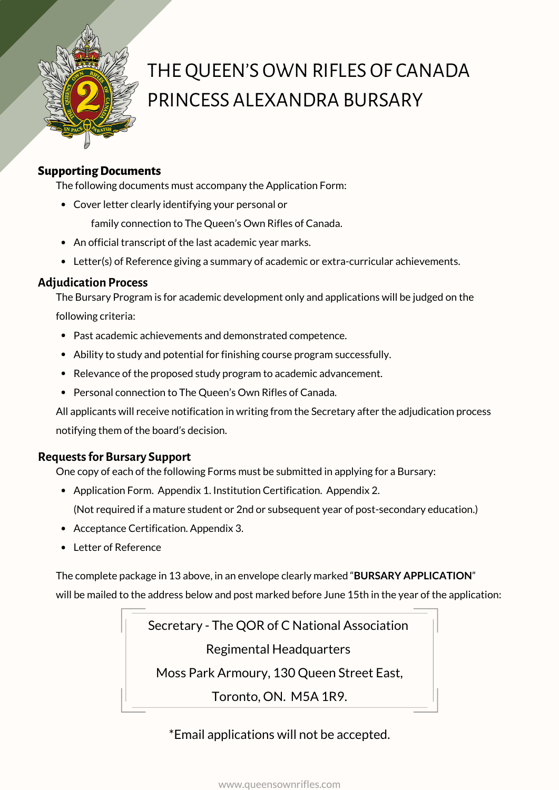

# THE QUEEN'S OWN RIFLES OF CANADA PRINCESS ALEXANDRA BURSARY

#### **SupportingDocuments**

The following documents must accompany the Application Form:

Cover letter clearly identifying your personal or

family connection to The Queen's Own Rifles of Canada.

- An official transcript of the last academic year marks.
- Letter(s) of Reference giving a summary of academic or extra-curricular achievements.

#### **Adjudication Process**

The Bursary Program is for academic development only and applications will be judged on the following criteria:

- Past academic achievements and demonstrated competence.
- Ability to study and potential for finishing course program successfully.
- Relevance of the proposed study program to academic advancement.
- Personal connection to The Queen's Own Rifles of Canada.

All applicants will receive notification in writing from the Secretary after the adjudication process notifying them of the board's decision.

#### **Requestsfor Bursary Support**

One copy of each of the following Forms must be submitted in applying for a Bursary:

Application Form. Appendix 1. Institution Certification. Appendix 2.

(Not required if a mature student or 2nd or subsequent year of post-secondary education.)

- Acceptance Certification. Appendix 3.
- Letter of Reference

The complete package in 13 above, in an envelope clearly marked "**BURSARY APPLICATION**" will be mailed to the address below and post marked before June 15th in the year of the application:

> Secretary - The QOR of C National Association Regimental Headquarters Moss Park Armoury, 130 Queen Street East, Toronto, ON. M5A 1R9.

> > \*Email applications will not be accepted.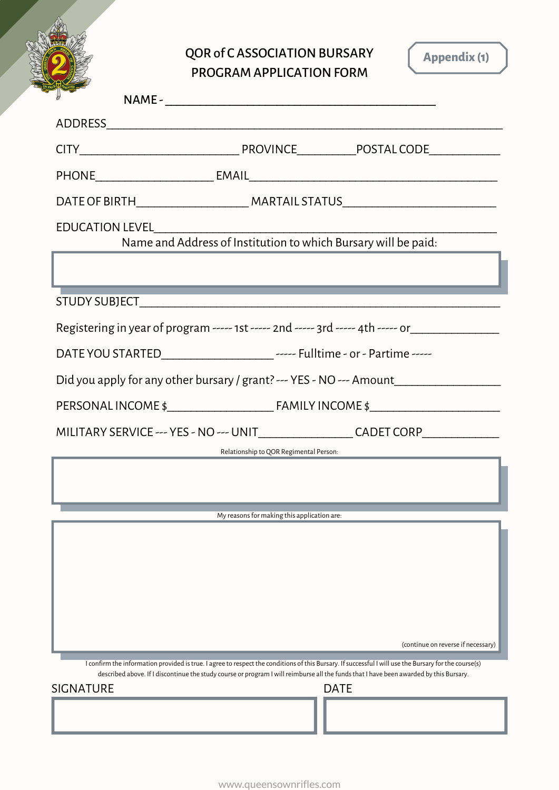QOR of CASSOCIATION BURSARY PROGRAM APPLICATION FORM

**Appendix (1)**

| DATE OF BIRTH___________________________________MARTAIL STATUS___________________                                                                                                           |  |  |
|---------------------------------------------------------------------------------------------------------------------------------------------------------------------------------------------|--|--|
|                                                                                                                                                                                             |  |  |
|                                                                                                                                                                                             |  |  |
|                                                                                                                                                                                             |  |  |
| Registering in year of program ----- 1st ----- 2nd ----- 3rd ----- 4th ----- or____________________                                                                                         |  |  |
|                                                                                                                                                                                             |  |  |
| Did you apply for any other bursary / grant? --- YES - NO --- Amount____________                                                                                                            |  |  |
|                                                                                                                                                                                             |  |  |
| MILITARY SERVICE --- YES - NO --- UNIT____________________CADET CORP____________                                                                                                            |  |  |
| Relationship to QOR Regimental Person:                                                                                                                                                      |  |  |
|                                                                                                                                                                                             |  |  |
| My reasons for making this application are:                                                                                                                                                 |  |  |
|                                                                                                                                                                                             |  |  |
|                                                                                                                                                                                             |  |  |
|                                                                                                                                                                                             |  |  |
|                                                                                                                                                                                             |  |  |
| (continue on reverse if necessary)<br>I confirm the information provided is true. I agree to respect the conditions of this Bursary. If successful I will use the Bursary for the course(s) |  |  |
| described above. If I discontinue the study course or program I will reimburse all the funds that I have been awarded by this Bursary.<br><b>DATE</b><br><b>SIGNATURE</b>                   |  |  |
|                                                                                                                                                                                             |  |  |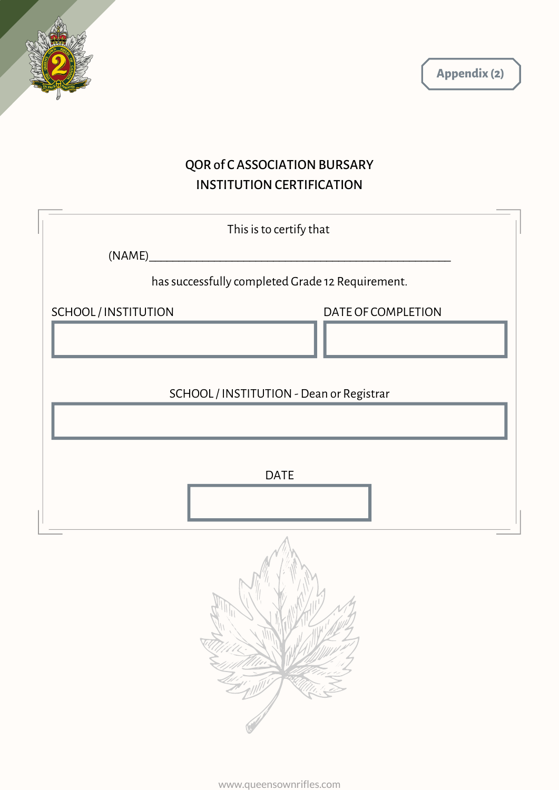



## QOR of CASSOCIATION BURSARY INSTITUTION CERTIFICATION

| This is to certify that                          |                    |  |
|--------------------------------------------------|--------------------|--|
| (NAME)                                           |                    |  |
| has successfully completed Grade 12 Requirement. |                    |  |
| SCHOOL/INSTITUTION                               | DATE OF COMPLETION |  |
| SCHOOL / INSTITUTION - Dean or Registrar         |                    |  |
|                                                  |                    |  |
| <b>DATE</b>                                      |                    |  |
|                                                  |                    |  |